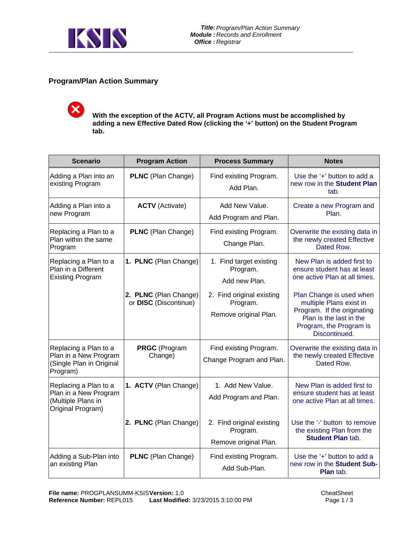

## **Program/Plan Action Summary**

**With the exception of the ACTV, all Program Actions must be accomplished by adding a new Effective Dated Row (clicking the '+' button) on the Student Program tab.** 

| <b>Scenario</b>                                                                           | <b>Program Action</b>                          | <b>Process Summary</b>                                         | <b>Notes</b>                                                                                                                                              |
|-------------------------------------------------------------------------------------------|------------------------------------------------|----------------------------------------------------------------|-----------------------------------------------------------------------------------------------------------------------------------------------------------|
| Adding a Plan into an<br>existing Program                                                 | <b>PLNC</b> (Plan Change)                      | Find existing Program.<br>Add Plan.                            | Use the '+' button to add a<br>new row in the Student Plan<br>tab.                                                                                        |
| Adding a Plan into a<br>new Program                                                       | <b>ACTV</b> (Activate)                         | Add New Value.<br>Add Program and Plan.                        | Create a new Program and<br>Plan.                                                                                                                         |
| Replacing a Plan to a<br>Plan within the same<br>Program                                  | <b>PLNC</b> (Plan Change)                      | Find existing Program.<br>Change Plan.                         | Overwrite the existing data in<br>the newly created Effective<br>Dated Row.                                                                               |
| Replacing a Plan to a<br>Plan in a Different<br><b>Existing Program</b>                   | 1. PLNC (Plan Change)                          | 1. Find target existing<br>Program.<br>Add new Plan.           | New Plan is added first to<br>ensure student has at least<br>one active Plan at all times.                                                                |
|                                                                                           | 2. PLNC (Plan Change)<br>or DISC (Discontinue) | 2. Find original existing<br>Program.<br>Remove original Plan. | Plan Change is used when<br>multiple Plans exist in<br>Program. If the originating<br>Plan is the last in the<br>Program, the Program is<br>Discontinued. |
| Replacing a Plan to a<br>Plan in a New Program<br>(Single Plan in Original<br>Program)    | <b>PRGC</b> (Program<br>Change)                | Find existing Program.<br>Change Program and Plan.             | Overwrite the existing data in<br>the newly created Effective<br>Dated Row.                                                                               |
| Replacing a Plan to a<br>Plan in a New Program<br>(Multiple Plans in<br>Original Program) | 1. ACTV (Plan Change)                          | 1. Add New Value.<br>Add Program and Plan.                     | New Plan is added first to<br>ensure student has at least<br>one active Plan at all times.                                                                |
|                                                                                           | 2. PLNC (Plan Change)                          | 2. Find original existing<br>Program.<br>Remove original Plan. | Use the '-' button to remove<br>the existing Plan from the<br><b>Student Plan tab.</b>                                                                    |
| Adding a Sub-Plan into<br>an existing Plan                                                | PLNC (Plan Change)                             | Find existing Program.<br>Add Sub-Plan.                        | Use the '+' button to add a<br>new row in the Student Sub-<br>Plan tab.                                                                                   |

**CheatSheet** Page 1 / 3